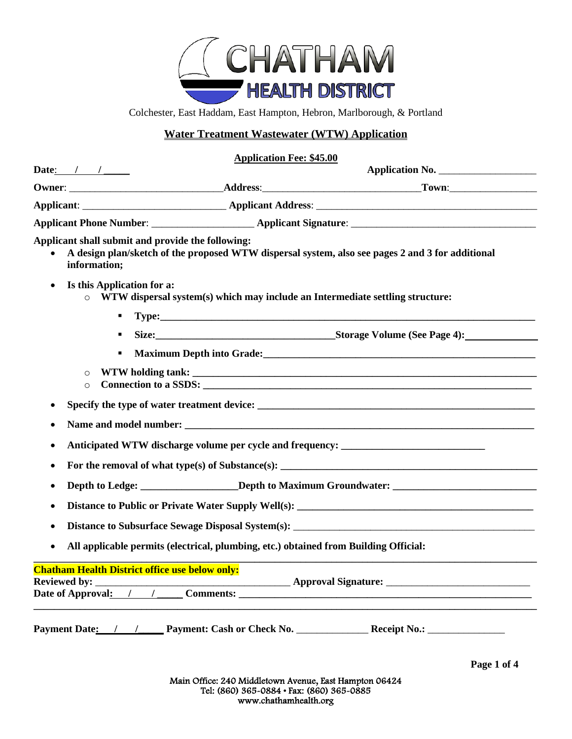

Colchester, East Haddam, East Hampton, Hebron, Marlborough, & Portland

# **Water Treatment Wastewater (WTW) Application**

### **Application Fee: \$45.00**

|           | Date: $/$ / $/$                                                   | Application No.                                                                                                                                                                                                                     |
|-----------|-------------------------------------------------------------------|-------------------------------------------------------------------------------------------------------------------------------------------------------------------------------------------------------------------------------------|
|           |                                                                   |                                                                                                                                                                                                                                     |
|           |                                                                   |                                                                                                                                                                                                                                     |
|           |                                                                   |                                                                                                                                                                                                                                     |
|           | Applicant shall submit and provide the following:<br>information; | A design plan/sketch of the proposed WTW dispersal system, also see pages 2 and 3 for additional                                                                                                                                    |
| $\bullet$ | Is this Application for a:<br>$\circ$                             | WTW dispersal system(s) which may include an Intermediate settling structure:                                                                                                                                                       |
|           | ٠                                                                 |                                                                                                                                                                                                                                     |
|           | ٠                                                                 |                                                                                                                                                                                                                                     |
|           | ٠                                                                 | <b>Maximum Depth into Grade:</b> No. 2006. The state of the state of the state of the state of the state of the state of the state of the state of the state of the state of the state of the state of the state of the state of th |
|           | $\circ$<br>$\circ$                                                |                                                                                                                                                                                                                                     |
| ٠         |                                                                   |                                                                                                                                                                                                                                     |
|           |                                                                   |                                                                                                                                                                                                                                     |
| ٠         |                                                                   | Anticipated WTW discharge volume per cycle and frequency: _______________________                                                                                                                                                   |
| ٠         |                                                                   |                                                                                                                                                                                                                                     |
|           |                                                                   | Depth to Ledge: ____________________Depth to Maximum Groundwater: __________________________________                                                                                                                                |
|           |                                                                   |                                                                                                                                                                                                                                     |
|           |                                                                   |                                                                                                                                                                                                                                     |
| $\bullet$ |                                                                   | All applicable permits (electrical, plumbing, etc.) obtained from Building Official:                                                                                                                                                |
|           | <b>Chatham Health District office use below only:</b>             |                                                                                                                                                                                                                                     |
|           |                                                                   |                                                                                                                                                                                                                                     |
|           |                                                                   |                                                                                                                                                                                                                                     |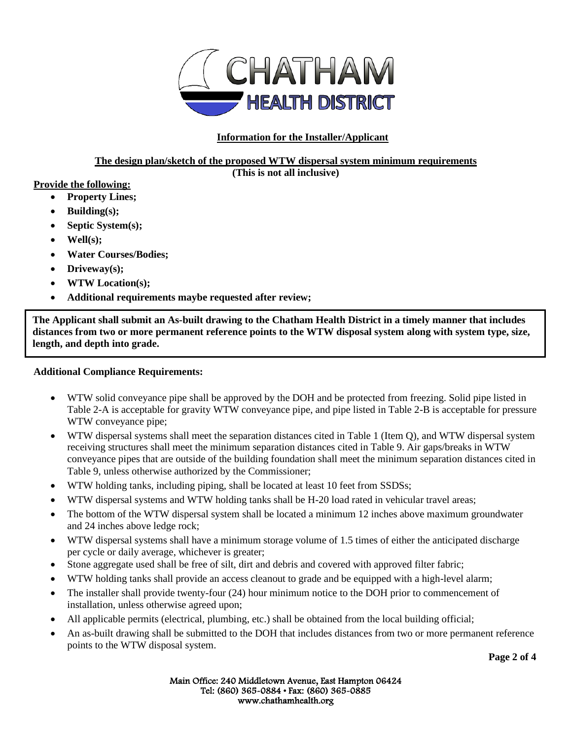

# **Information for the Installer/Applicant**

# **The design plan/sketch of the proposed WTW dispersal system minimum requirements**

**(This is not all inclusive)**

## **Provide the following:**

- **Property Lines;**
- **Building(s);**
- **Septic System(s);**
- **Well(s);**
- **Water Courses/Bodies;**
- **Driveway(s);**
- **WTW Location(s);**
- **Additional requirements maybe requested after review;**

**The Applicant shall submit an As-built drawing to the Chatham Health District in a timely manner that includes distances from two or more permanent reference points to the WTW disposal system along with system type, size, length, and depth into grade.** 

# **Additional Compliance Requirements:**

- WTW solid conveyance pipe shall be approved by the DOH and be protected from freezing. Solid pipe listed in Table 2-A is acceptable for gravity WTW conveyance pipe, and pipe listed in Table 2-B is acceptable for pressure WTW conveyance pipe;
- WTW dispersal systems shall meet the separation distances cited in Table 1 (Item Q), and WTW dispersal system receiving structures shall meet the minimum separation distances cited in Table 9. Air gaps/breaks in WTW conveyance pipes that are outside of the building foundation shall meet the minimum separation distances cited in Table 9, unless otherwise authorized by the Commissioner;
- WTW holding tanks, including piping, shall be located at least 10 feet from SSDSs;
- WTW dispersal systems and WTW holding tanks shall be H-20 load rated in vehicular travel areas;
- The bottom of the WTW dispersal system shall be located a minimum 12 inches above maximum groundwater and 24 inches above ledge rock;
- WTW dispersal systems shall have a minimum storage volume of 1.5 times of either the anticipated discharge per cycle or daily average, whichever is greater;
- Stone aggregate used shall be free of silt, dirt and debris and covered with approved filter fabric;
- WTW holding tanks shall provide an access cleanout to grade and be equipped with a high-level alarm;
- The installer shall provide twenty-four (24) hour minimum notice to the DOH prior to commencement of installation, unless otherwise agreed upon;
- All applicable permits (electrical, plumbing, etc.) shall be obtained from the local building official;
- An as-built drawing shall be submitted to the DOH that includes distances from two or more permanent reference points to the WTW disposal system.

Main Office: 240 Middletown Avenue, East Hampton 06424 Tel: (860) 365-0884 • Fax: (860) 365-0885 www.chathamhealth.org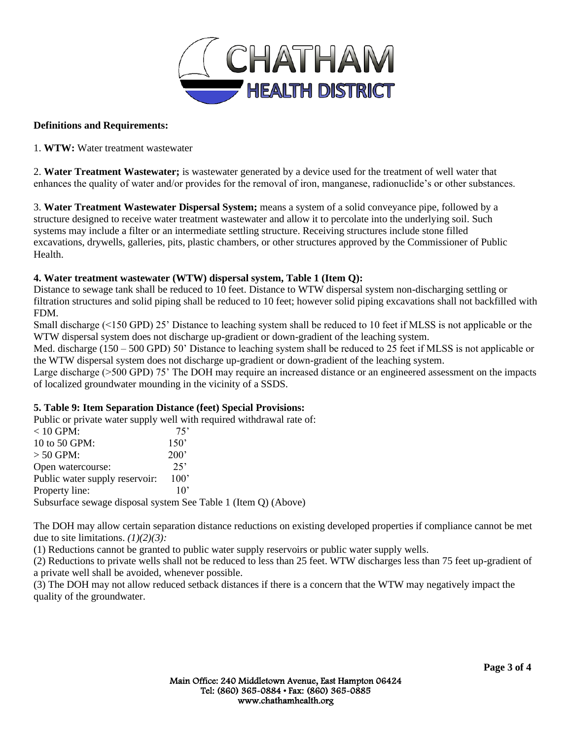

#### **Definitions and Requirements:**

1. **WTW:** Water treatment wastewater

2. **Water Treatment Wastewater;** is wastewater generated by a device used for the treatment of well water that enhances the quality of water and/or provides for the removal of iron, manganese, radionuclide's or other substances.

3. **Water Treatment Wastewater Dispersal System;** means a system of a solid conveyance pipe, followed by a structure designed to receive water treatment wastewater and allow it to percolate into the underlying soil. Such systems may include a filter or an intermediate settling structure. Receiving structures include stone filled excavations, drywells, galleries, pits, plastic chambers, or other structures approved by the Commissioner of Public Health.

## **4. Water treatment wastewater (WTW) dispersal system, Table 1 (Item Q):**

Distance to sewage tank shall be reduced to 10 feet. Distance to WTW dispersal system non-discharging settling or filtration structures and solid piping shall be reduced to 10 feet; however solid piping excavations shall not backfilled with FDM.

Small discharge (<150 GPD) 25' Distance to leaching system shall be reduced to 10 feet if MLSS is not applicable or the WTW dispersal system does not discharge up-gradient or down-gradient of the leaching system.

Med. discharge (150 – 500 GPD) 50' Distance to leaching system shall be reduced to 25 feet if MLSS is not applicable or the WTW dispersal system does not discharge up-gradient or down-gradient of the leaching system.

Large discharge (>500 GPD) 75' The DOH may require an increased distance or an engineered assessment on the impacts of localized groundwater mounding in the vicinity of a SSDS.

## **5. Table 9: Item Separation Distance (feet) Special Provisions:**

Public or private water supply well with required withdrawal rate of:

| .                                                              |      |  |  |  |  |
|----------------------------------------------------------------|------|--|--|--|--|
| $< 10$ GPM:                                                    | 75'  |  |  |  |  |
| 10 to 50 GPM:                                                  | 150' |  |  |  |  |
| $> 50$ GPM:                                                    | 200' |  |  |  |  |
| Open watercourse:                                              | 25'  |  |  |  |  |
| Public water supply reservoir:                                 | 100' |  |  |  |  |
| Property line:                                                 | 10'  |  |  |  |  |
| Subsurface sewage disposal system See Table 1 (Item Q) (Above) |      |  |  |  |  |
|                                                                |      |  |  |  |  |

The DOH may allow certain separation distance reductions on existing developed properties if compliance cannot be met due to site limitations. *(1)(2)(3):* 

(1) Reductions cannot be granted to public water supply reservoirs or public water supply wells.

(2) Reductions to private wells shall not be reduced to less than 25 feet. WTW discharges less than 75 feet up-gradient of a private well shall be avoided, whenever possible.

(3) The DOH may not allow reduced setback distances if there is a concern that the WTW may negatively impact the quality of the groundwater.